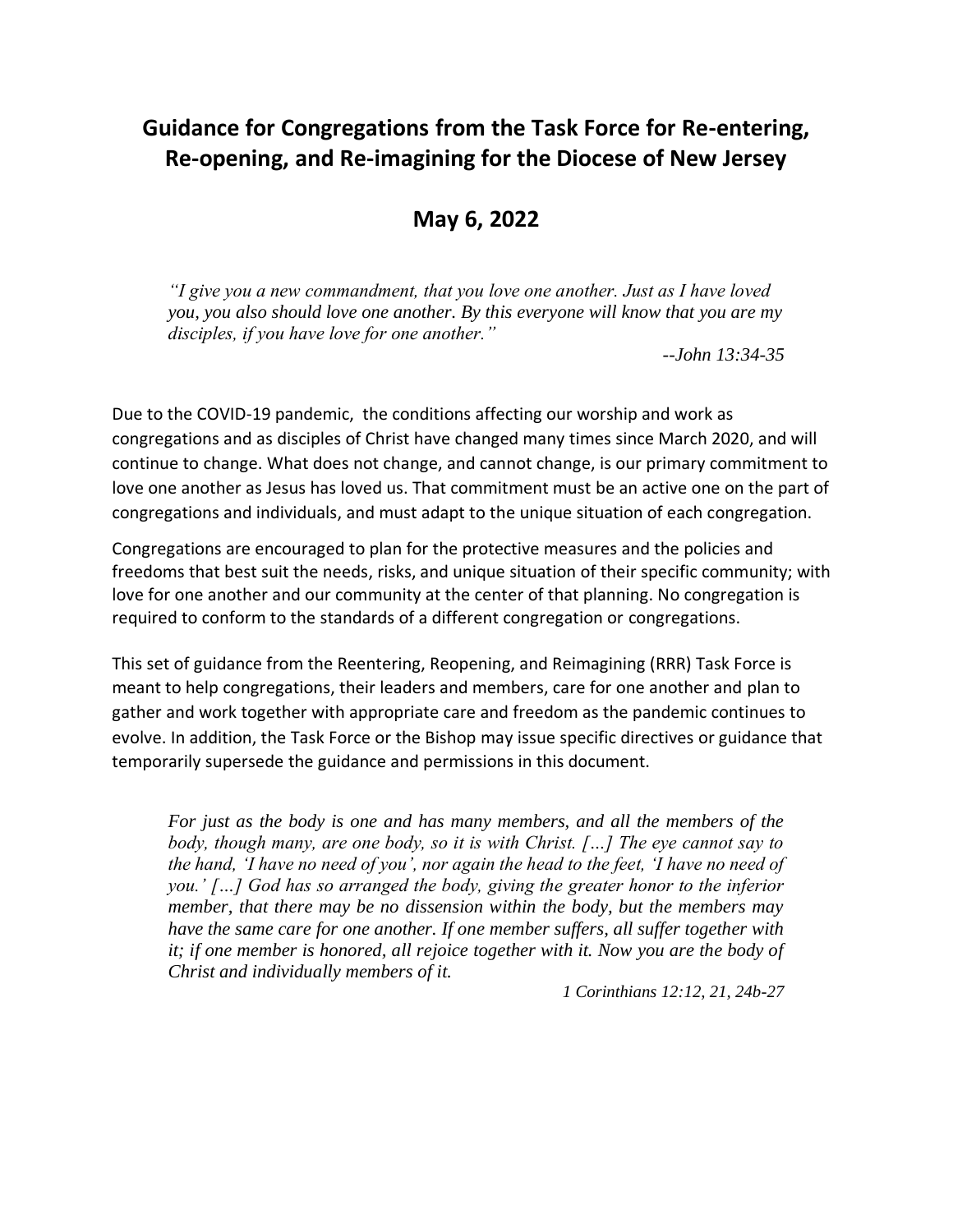# **Guidance for Congregations from the Task Force for Re-entering, Re-opening, and Re-imagining for the Diocese of New Jersey**

**May 6, 2022**

*"I give you a new commandment, that you love one another. Just as I have loved you, you also should love one another. By this everyone will know that you are my disciples, if you have love for one another."*

--*John 13:34-35*

Due to the COVID-19 pandemic, the conditions affecting our worship and work as congregations and as disciples of Christ have changed many times since March 2020, and will continue to change. What does not change, and cannot change, is our primary commitment to love one another as Jesus has loved us. That commitment must be an active one on the part of congregations and individuals, and must adapt to the unique situation of each congregation.

Congregations are encouraged to plan for the protective measures and the policies and freedoms that best suit the needs, risks, and unique situation of their specific community; with love for one another and our community at the center of that planning. No congregation is required to conform to the standards of a different congregation or congregations.

This set of guidance from the Reentering, Reopening, and Reimagining (RRR) Task Force is meant to help congregations, their leaders and members, care for one another and plan to gather and work together with appropriate care and freedom as the pandemic continues to evolve. In addition, the Task Force or the Bishop may issue specific directives or guidance that temporarily supersede the guidance and permissions in this document.

*For just as the body is one and has many members, and all the members of the body, though many, are one body, so it is with Christ. […] The eye cannot say to the hand, 'I have no need of you', nor again the head to the feet, 'I have no need of you.' […] God has so arranged the body, giving the greater honor to the inferior member, that there may be no dissension within the body, but the members may have the same care for one another. If one member suffers, all suffer together with it; if one member is honored, all rejoice together with it. Now you are the body of Christ and individually members of it.*

*1 Corinthians 12:12, 21, 24b-27*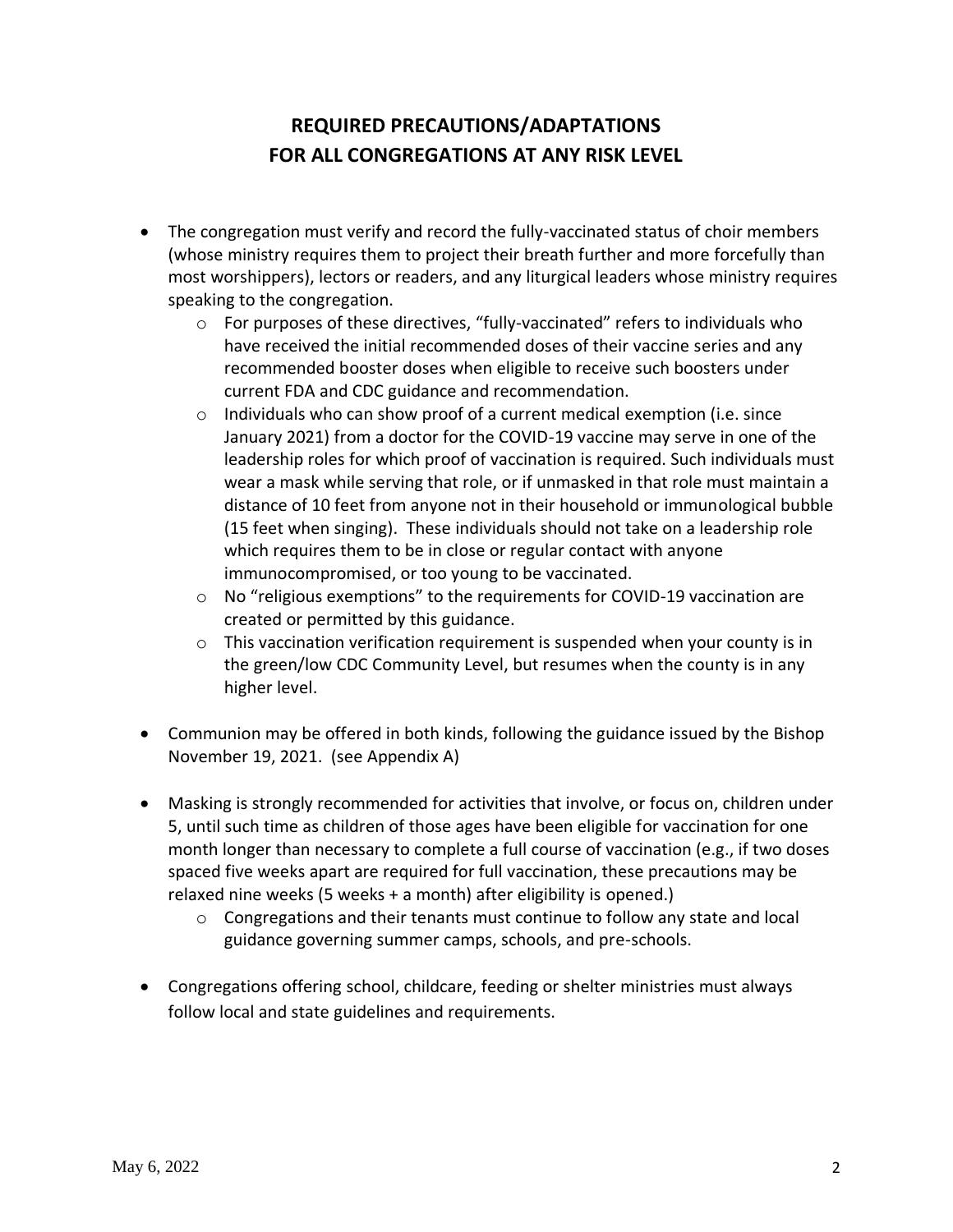## **REQUIRED PRECAUTIONS/ADAPTATIONS FOR ALL CONGREGATIONS AT ANY RISK LEVEL**

- The congregation must verify and record the fully-vaccinated status of choir members (whose ministry requires them to project their breath further and more forcefully than most worshippers), lectors or readers, and any liturgical leaders whose ministry requires speaking to the congregation.
	- $\circ$  For purposes of these directives, "fully-vaccinated" refers to individuals who have received the initial recommended doses of their vaccine series and any recommended booster doses when eligible to receive such boosters under current FDA and CDC guidance and recommendation.
	- $\circ$  Individuals who can show proof of a current medical exemption (i.e. since January 2021) from a doctor for the COVID-19 vaccine may serve in one of the leadership roles for which proof of vaccination is required. Such individuals must wear a mask while serving that role, or if unmasked in that role must maintain a distance of 10 feet from anyone not in their household or immunological bubble (15 feet when singing). These individuals should not take on a leadership role which requires them to be in close or regular contact with anyone immunocompromised, or too young to be vaccinated.
	- $\circ$  No "religious exemptions" to the requirements for COVID-19 vaccination are created or permitted by this guidance.
	- o This vaccination verification requirement is suspended when your county is in the green/low CDC Community Level, but resumes when the county is in any higher level.
- Communion may be offered in both kinds, following the guidance issued by the Bishop November 19, 2021. (see Appendix A)
- Masking is strongly recommended for activities that involve, or focus on, children under 5, until such time as children of those ages have been eligible for vaccination for one month longer than necessary to complete a full course of vaccination (e.g., if two doses spaced five weeks apart are required for full vaccination, these precautions may be relaxed nine weeks (5 weeks + a month) after eligibility is opened.)
	- $\circ$  Congregations and their tenants must continue to follow any state and local guidance governing summer camps, schools, and pre-schools.
- Congregations offering school, childcare, feeding or shelter ministries must always follow local and state guidelines and requirements.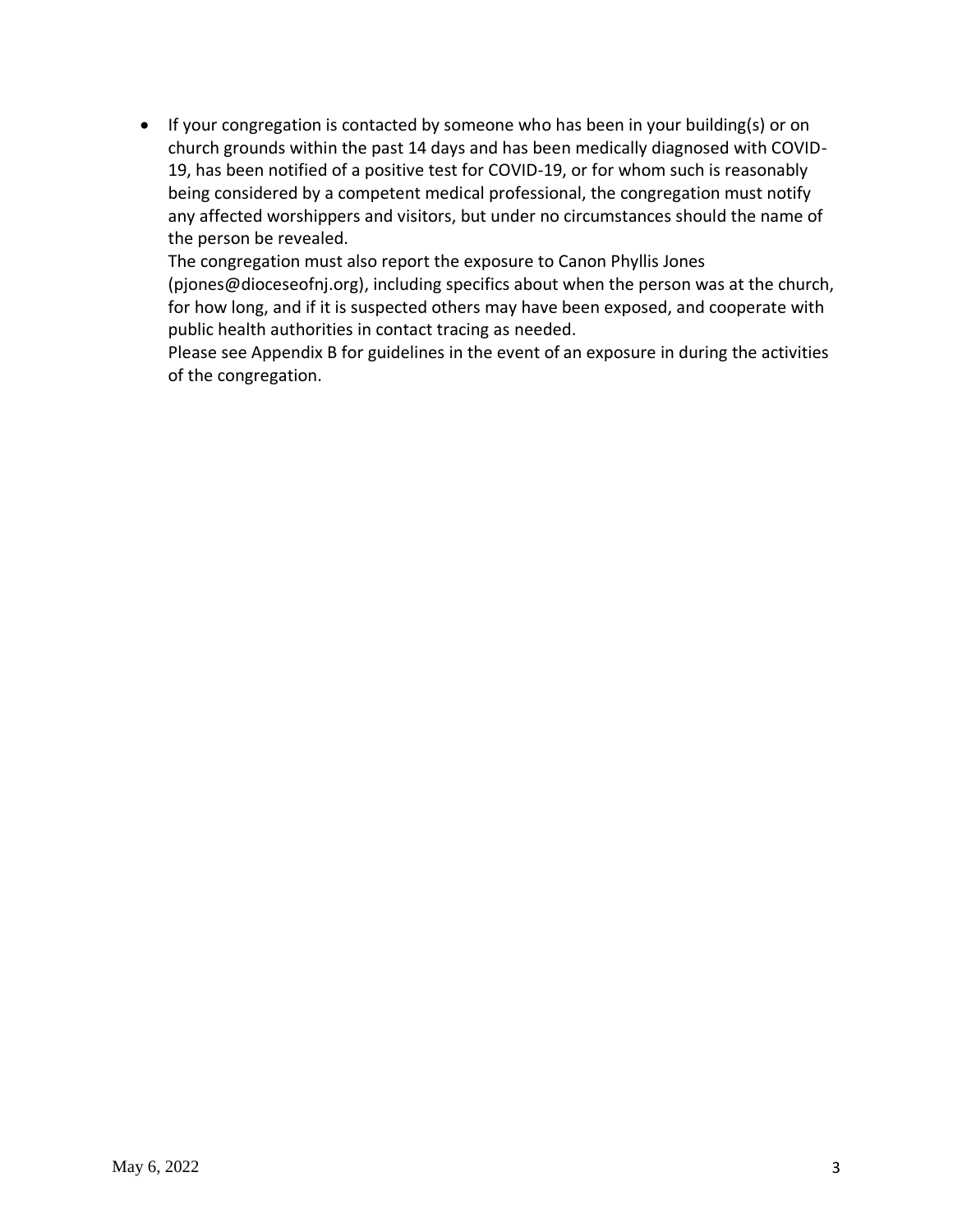• If your congregation is contacted by someone who has been in your building(s) or on church grounds within the past 14 days and has been medically diagnosed with COVID-19, has been notified of a positive test for COVID-19, or for whom such is reasonably being considered by a competent medical professional, the congregation must notify any affected worshippers and visitors, but under no circumstances should the name of the person be revealed.

The congregation must also report the exposure to Canon Phyllis Jones (pjones@dioceseofnj.org), including specifics about when the person was at the church, for how long, and if it is suspected others may have been exposed, and cooperate with public health authorities in contact tracing as needed.

Please see Appendix B for guidelines in the event of an exposure in during the activities of the congregation.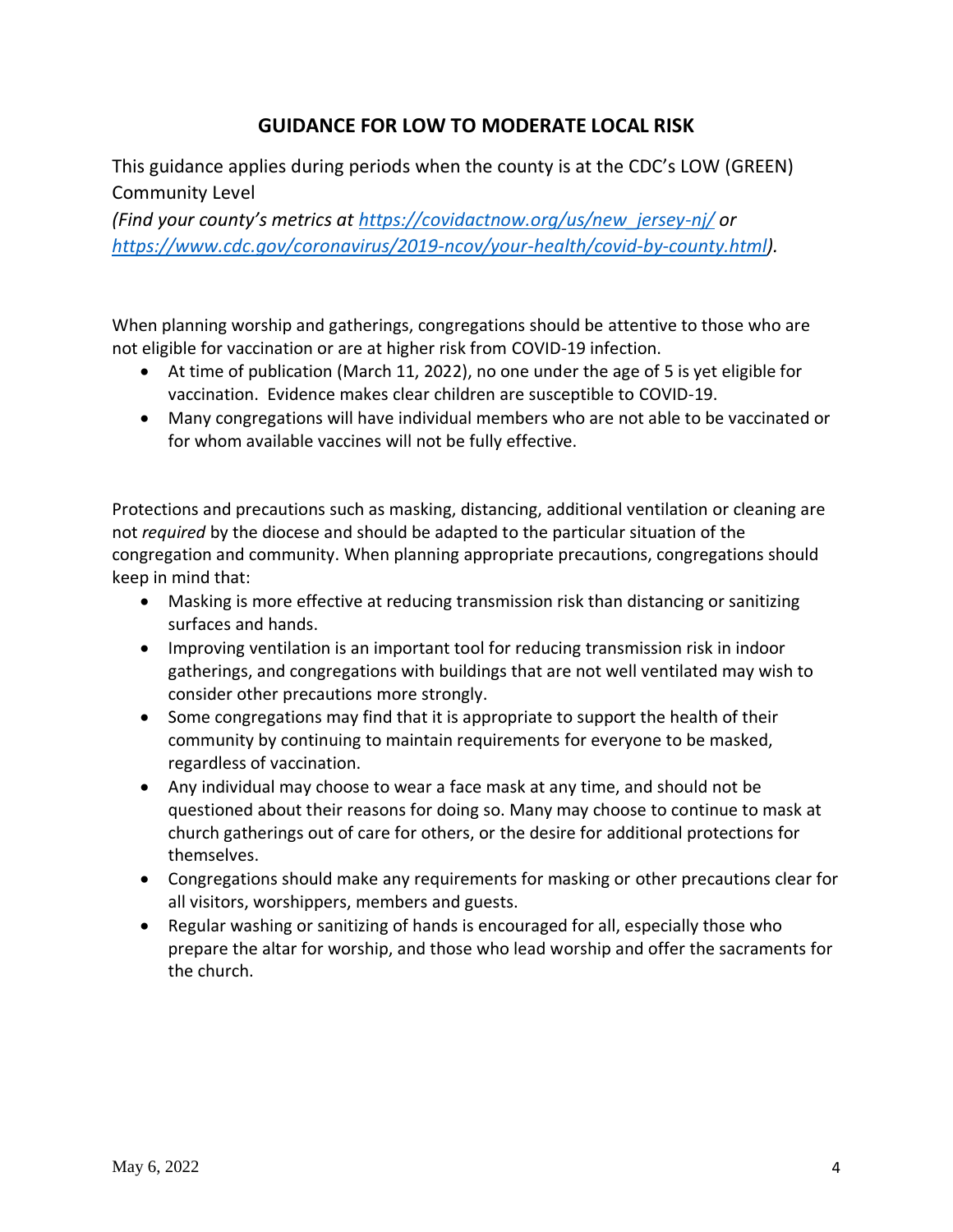### **GUIDANCE FOR LOW TO MODERATE LOCAL RISK**

This guidance applies during periods when the county is at the CDC's LOW (GREEN) Community Level

*(Find your county's metrics at [https://covidactnow.org/us/new\\_jersey-nj/](https://covidactnow.org/us/new_jersey-nj/) or [https://www.cdc.gov/coronavirus/2019-ncov/your-health/covid-by-county.html\)](https://www.cdc.gov/coronavirus/2019-ncov/your-health/covid-by-county.html).*

When planning worship and gatherings, congregations should be attentive to those who are not eligible for vaccination or are at higher risk from COVID-19 infection.

- At time of publication (March 11, 2022), no one under the age of 5 is yet eligible for vaccination. Evidence makes clear children are susceptible to COVID-19.
- Many congregations will have individual members who are not able to be vaccinated or for whom available vaccines will not be fully effective.

Protections and precautions such as masking, distancing, additional ventilation or cleaning are not *required* by the diocese and should be adapted to the particular situation of the congregation and community. When planning appropriate precautions, congregations should keep in mind that:

- Masking is more effective at reducing transmission risk than distancing or sanitizing surfaces and hands.
- Improving ventilation is an important tool for reducing transmission risk in indoor gatherings, and congregations with buildings that are not well ventilated may wish to consider other precautions more strongly.
- Some congregations may find that it is appropriate to support the health of their community by continuing to maintain requirements for everyone to be masked, regardless of vaccination.
- Any individual may choose to wear a face mask at any time, and should not be questioned about their reasons for doing so. Many may choose to continue to mask at church gatherings out of care for others, or the desire for additional protections for themselves.
- Congregations should make any requirements for masking or other precautions clear for all visitors, worshippers, members and guests.
- Regular washing or sanitizing of hands is encouraged for all, especially those who prepare the altar for worship, and those who lead worship and offer the sacraments for the church.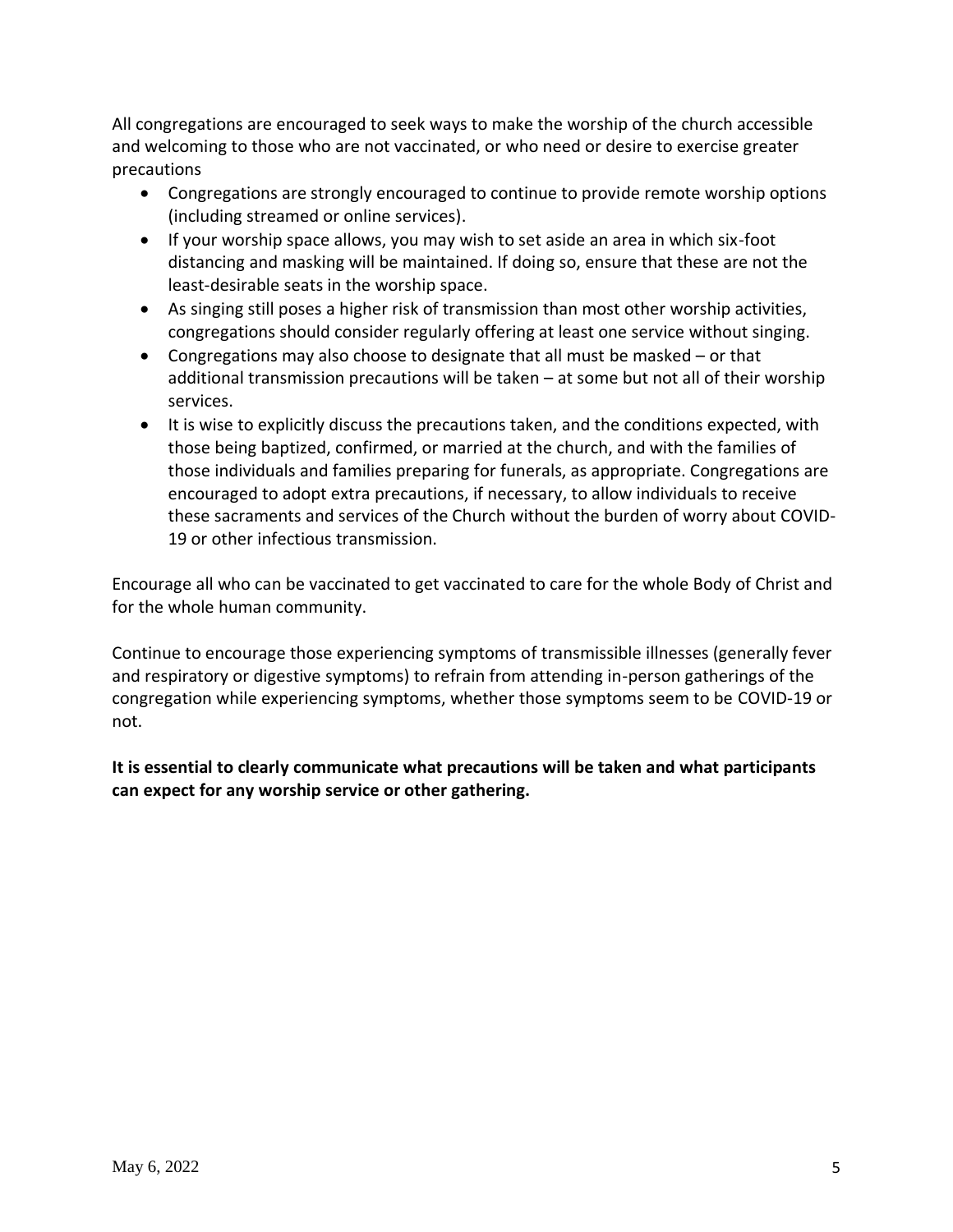All congregations are encouraged to seek ways to make the worship of the church accessible and welcoming to those who are not vaccinated, or who need or desire to exercise greater precautions

- Congregations are strongly encouraged to continue to provide remote worship options (including streamed or online services).
- If your worship space allows, you may wish to set aside an area in which six-foot distancing and masking will be maintained. If doing so, ensure that these are not the least-desirable seats in the worship space.
- As singing still poses a higher risk of transmission than most other worship activities, congregations should consider regularly offering at least one service without singing.
- Congregations may also choose to designate that all must be masked or that additional transmission precautions will be taken – at some but not all of their worship services.
- It is wise to explicitly discuss the precautions taken, and the conditions expected, with those being baptized, confirmed, or married at the church, and with the families of those individuals and families preparing for funerals, as appropriate. Congregations are encouraged to adopt extra precautions, if necessary, to allow individuals to receive these sacraments and services of the Church without the burden of worry about COVID-19 or other infectious transmission.

Encourage all who can be vaccinated to get vaccinated to care for the whole Body of Christ and for the whole human community.

Continue to encourage those experiencing symptoms of transmissible illnesses (generally fever and respiratory or digestive symptoms) to refrain from attending in-person gatherings of the congregation while experiencing symptoms, whether those symptoms seem to be COVID-19 or not.

**It is essential to clearly communicate what precautions will be taken and what participants can expect for any worship service or other gathering.**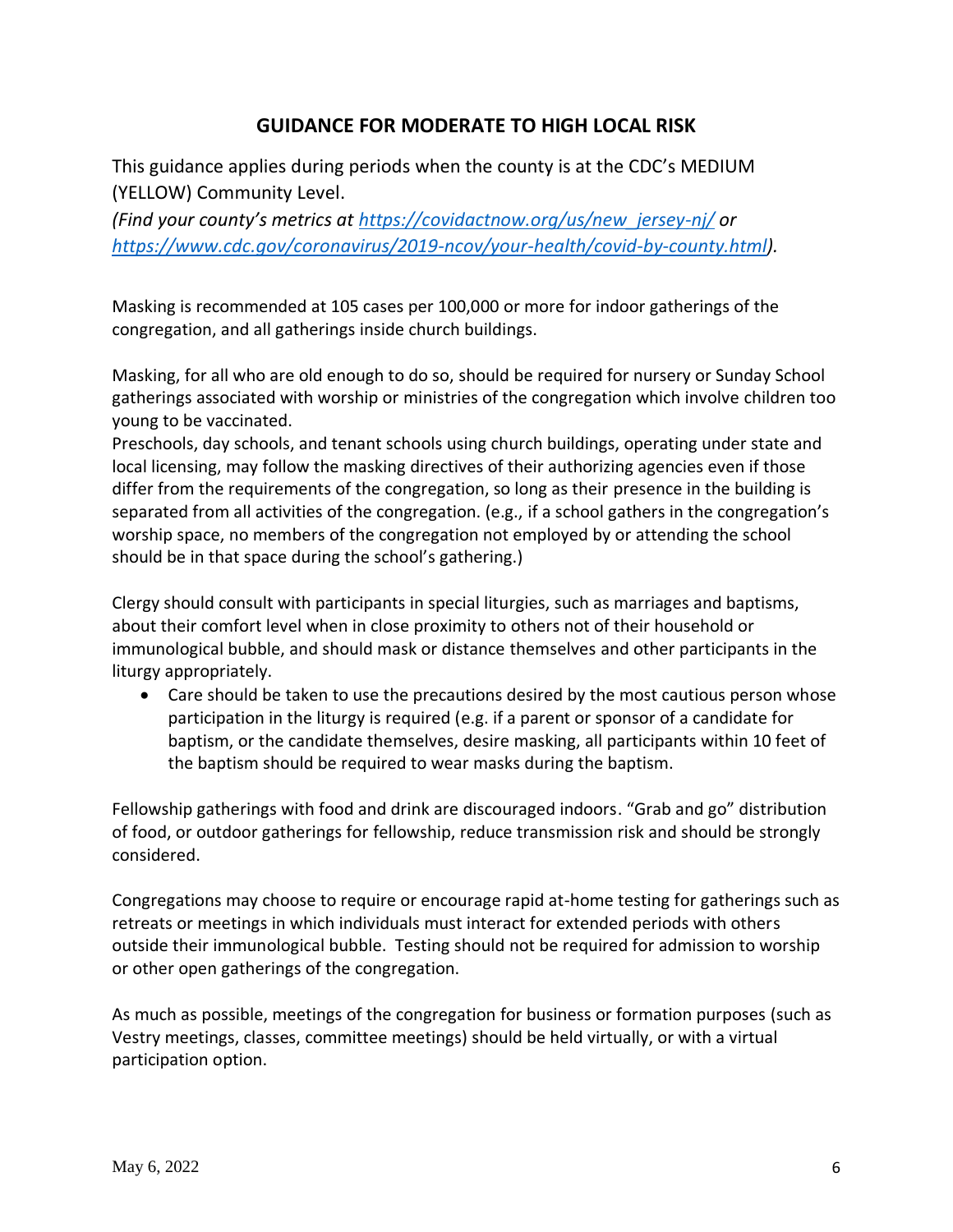#### **GUIDANCE FOR MODERATE TO HIGH LOCAL RISK**

This guidance applies during periods when the county is at the CDC's MEDIUM (YELLOW) Community Level.

*(Find your county's metrics at [https://covidactnow.org/us/new\\_jersey-nj/](https://covidactnow.org/us/new_jersey-nj/) or [https://www.cdc.gov/coronavirus/2019-ncov/your-health/covid-by-county.html\)](https://www.cdc.gov/coronavirus/2019-ncov/your-health/covid-by-county.html).*

Masking is recommended at 105 cases per 100,000 or more for indoor gatherings of the congregation, and all gatherings inside church buildings.

Masking, for all who are old enough to do so, should be required for nursery or Sunday School gatherings associated with worship or ministries of the congregation which involve children too young to be vaccinated.

Preschools, day schools, and tenant schools using church buildings, operating under state and local licensing, may follow the masking directives of their authorizing agencies even if those differ from the requirements of the congregation, so long as their presence in the building is separated from all activities of the congregation. (e.g., if a school gathers in the congregation's worship space, no members of the congregation not employed by or attending the school should be in that space during the school's gathering.)

Clergy should consult with participants in special liturgies, such as marriages and baptisms, about their comfort level when in close proximity to others not of their household or immunological bubble, and should mask or distance themselves and other participants in the liturgy appropriately.

• Care should be taken to use the precautions desired by the most cautious person whose participation in the liturgy is required (e.g. if a parent or sponsor of a candidate for baptism, or the candidate themselves, desire masking, all participants within 10 feet of the baptism should be required to wear masks during the baptism.

Fellowship gatherings with food and drink are discouraged indoors. "Grab and go" distribution of food, or outdoor gatherings for fellowship, reduce transmission risk and should be strongly considered.

Congregations may choose to require or encourage rapid at-home testing for gatherings such as retreats or meetings in which individuals must interact for extended periods with others outside their immunological bubble. Testing should not be required for admission to worship or other open gatherings of the congregation.

As much as possible, meetings of the congregation for business or formation purposes (such as Vestry meetings, classes, committee meetings) should be held virtually, or with a virtual participation option.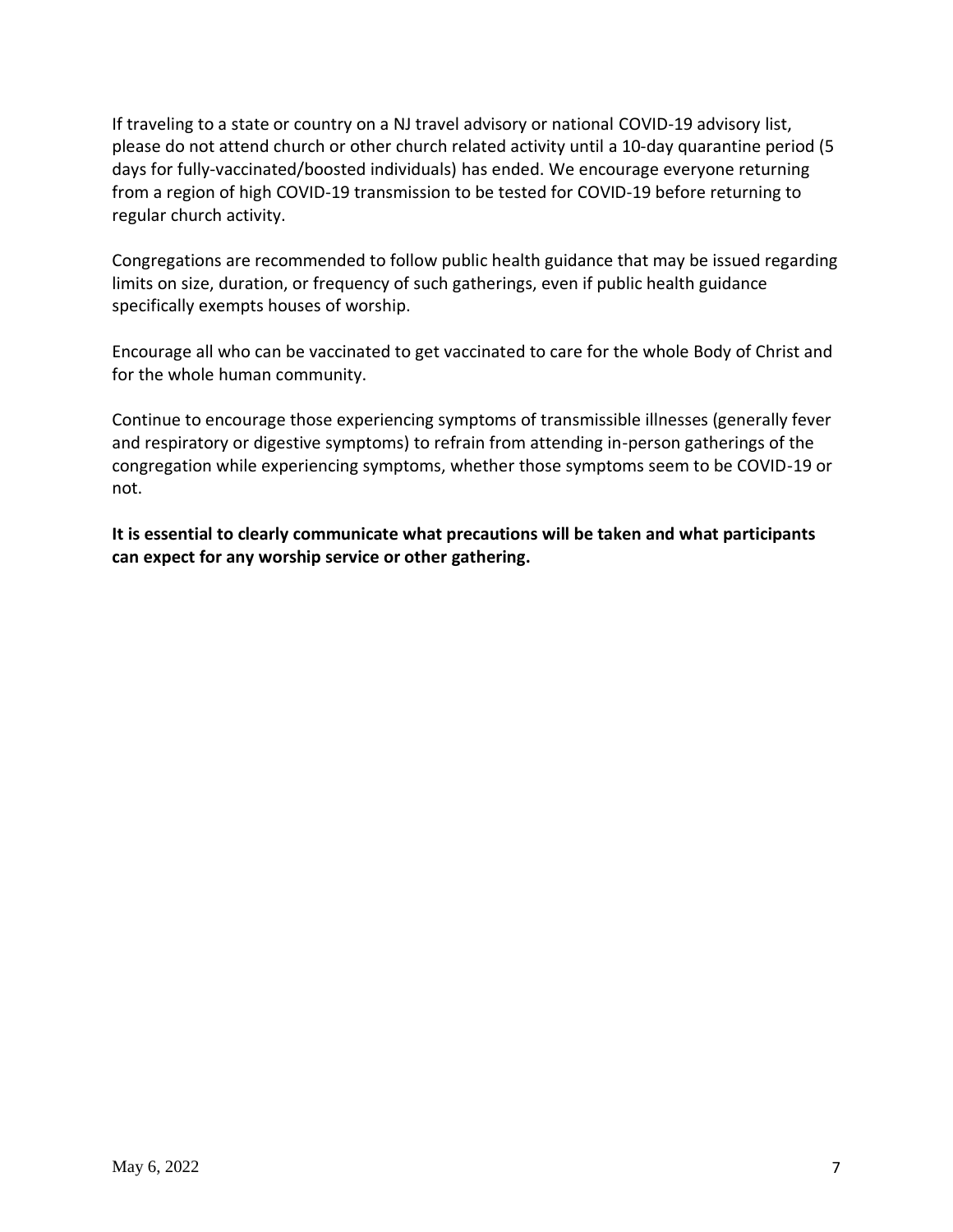If traveling to a state or country on a NJ travel advisory or national COVID-19 advisory list, please do not attend church or other church related activity until a 10-day quarantine period (5 days for fully-vaccinated/boosted individuals) has ended. We encourage everyone returning from a region of high COVID-19 transmission to be tested for COVID-19 before returning to regular church activity.

Congregations are recommended to follow public health guidance that may be issued regarding limits on size, duration, or frequency of such gatherings, even if public health guidance specifically exempts houses of worship.

Encourage all who can be vaccinated to get vaccinated to care for the whole Body of Christ and for the whole human community.

Continue to encourage those experiencing symptoms of transmissible illnesses (generally fever and respiratory or digestive symptoms) to refrain from attending in-person gatherings of the congregation while experiencing symptoms, whether those symptoms seem to be COVID-19 or not.

**It is essential to clearly communicate what precautions will be taken and what participants can expect for any worship service or other gathering.**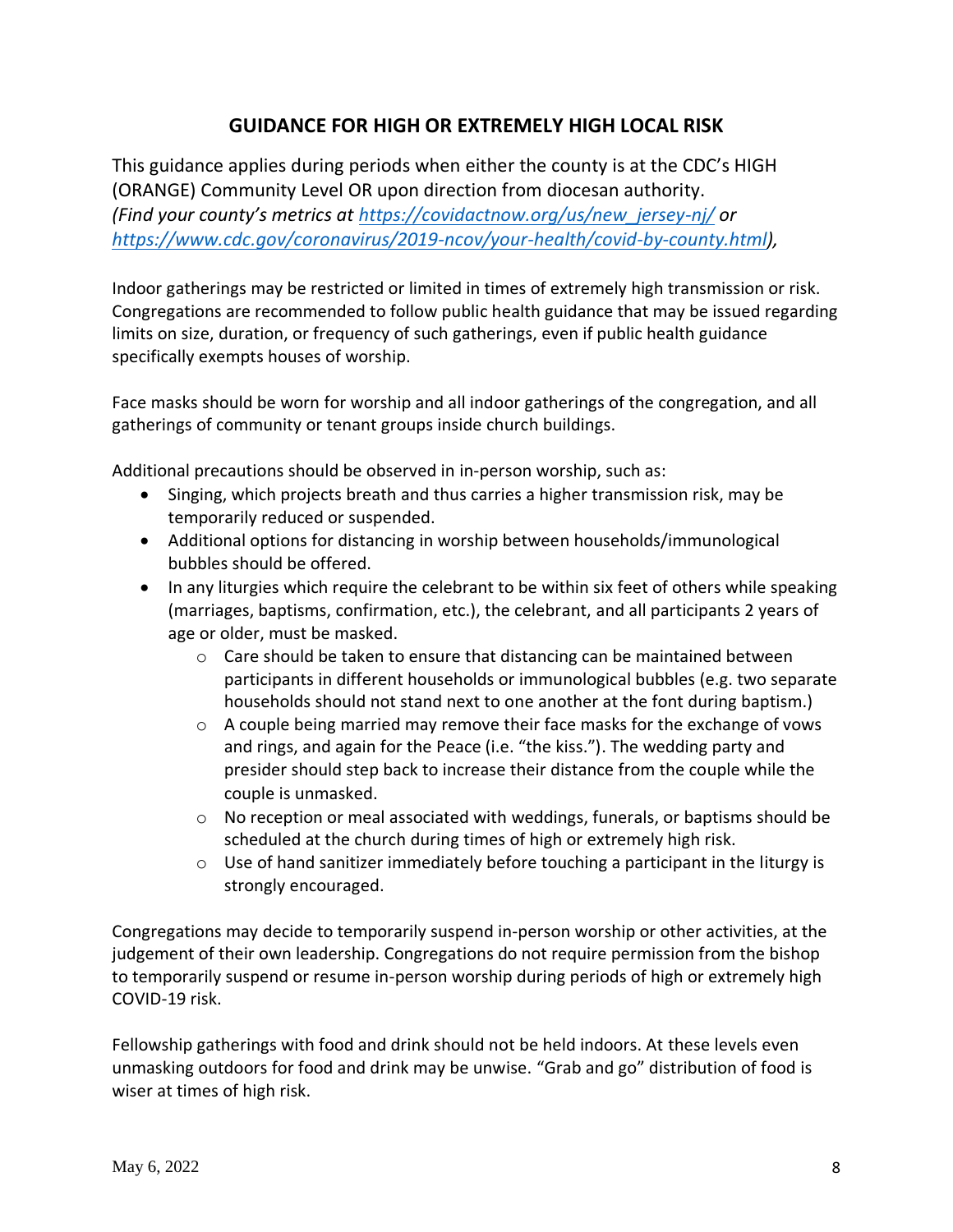### **GUIDANCE FOR HIGH OR EXTREMELY HIGH LOCAL RISK**

This guidance applies during periods when either the county is at the CDC's HIGH (ORANGE) Community Level OR upon direction from diocesan authority. *(Find your county's metrics at [https://covidactnow.org/us/new\\_jersey-nj/](https://covidactnow.org/us/new_jersey-nj/) or [https://www.cdc.gov/coronavirus/2019-ncov/your-health/covid-by-county.html\)](https://www.cdc.gov/coronavirus/2019-ncov/your-health/covid-by-county.html),*

Indoor gatherings may be restricted or limited in times of extremely high transmission or risk. Congregations are recommended to follow public health guidance that may be issued regarding limits on size, duration, or frequency of such gatherings, even if public health guidance specifically exempts houses of worship.

Face masks should be worn for worship and all indoor gatherings of the congregation, and all gatherings of community or tenant groups inside church buildings.

Additional precautions should be observed in in-person worship, such as:

- Singing, which projects breath and thus carries a higher transmission risk, may be temporarily reduced or suspended.
- Additional options for distancing in worship between households/immunological bubbles should be offered.
- In any liturgies which require the celebrant to be within six feet of others while speaking (marriages, baptisms, confirmation, etc.), the celebrant, and all participants 2 years of age or older, must be masked.
	- $\circ$  Care should be taken to ensure that distancing can be maintained between participants in different households or immunological bubbles (e.g. two separate households should not stand next to one another at the font during baptism.)
	- $\circ$  A couple being married may remove their face masks for the exchange of vows and rings, and again for the Peace (i.e. "the kiss."). The wedding party and presider should step back to increase their distance from the couple while the couple is unmasked.
	- $\circ$  No reception or meal associated with weddings, funerals, or baptisms should be scheduled at the church during times of high or extremely high risk.
	- o Use of hand sanitizer immediately before touching a participant in the liturgy is strongly encouraged.

Congregations may decide to temporarily suspend in-person worship or other activities, at the judgement of their own leadership. Congregations do not require permission from the bishop to temporarily suspend or resume in-person worship during periods of high or extremely high COVID-19 risk.

Fellowship gatherings with food and drink should not be held indoors. At these levels even unmasking outdoors for food and drink may be unwise. "Grab and go" distribution of food is wiser at times of high risk.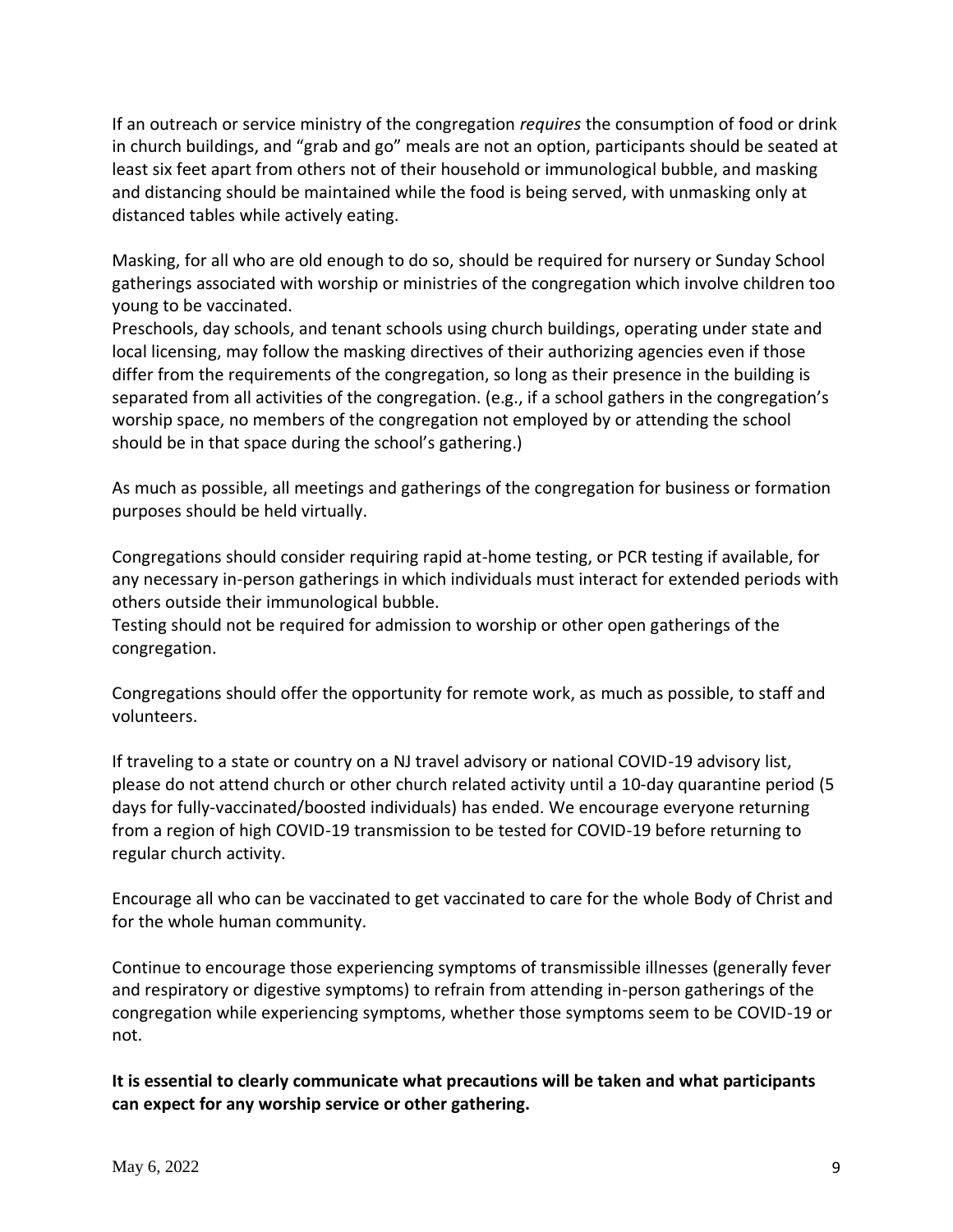If an outreach or service ministry of the congregation *requires* the consumption of food or drink in church buildings, and "grab and go" meals are not an option, participants should be seated at least six feet apart from others not of their household or immunological bubble, and masking and distancing should be maintained while the food is being served, with unmasking only at distanced tables while actively eating.

Masking, for all who are old enough to do so, should be required for nursery or Sunday School gatherings associated with worship or ministries of the congregation which involve children too young to be vaccinated.

Preschools, day schools, and tenant schools using church buildings, operating under state and local licensing, may follow the masking directives of their authorizing agencies even if those differ from the requirements of the congregation, so long as their presence in the building is separated from all activities of the congregation. (e.g., if a school gathers in the congregation's worship space, no members of the congregation not employed by or attending the school should be in that space during the school's gathering.)

As much as possible, all meetings and gatherings of the congregation for business or formation purposes should be held virtually.

Congregations should consider requiring rapid at-home testing, or PCR testing if available, for any necessary in-person gatherings in which individuals must interact for extended periods with others outside their immunological bubble.

Testing should not be required for admission to worship or other open gatherings of the congregation.

Congregations should offer the opportunity for remote work, as much as possible, to staff and volunteers.

If traveling to a state or country on a NJ travel advisory or national COVID-19 advisory list, please do not attend church or other church related activity until a 10-day quarantine period (5 days for fully-vaccinated/boosted individuals) has ended. We encourage everyone returning from a region of high COVID-19 transmission to be tested for COVID-19 before returning to regular church activity.

Encourage all who can be vaccinated to get vaccinated to care for the whole Body of Christ and for the whole human community.

Continue to encourage those experiencing symptoms of transmissible illnesses (generally fever and respiratory or digestive symptoms) to refrain from attending in-person gatherings of the congregation while experiencing symptoms, whether those symptoms seem to be COVID-19 or not.

**It is essential to clearly communicate what precautions will be taken and what participants can expect for any worship service or other gathering.**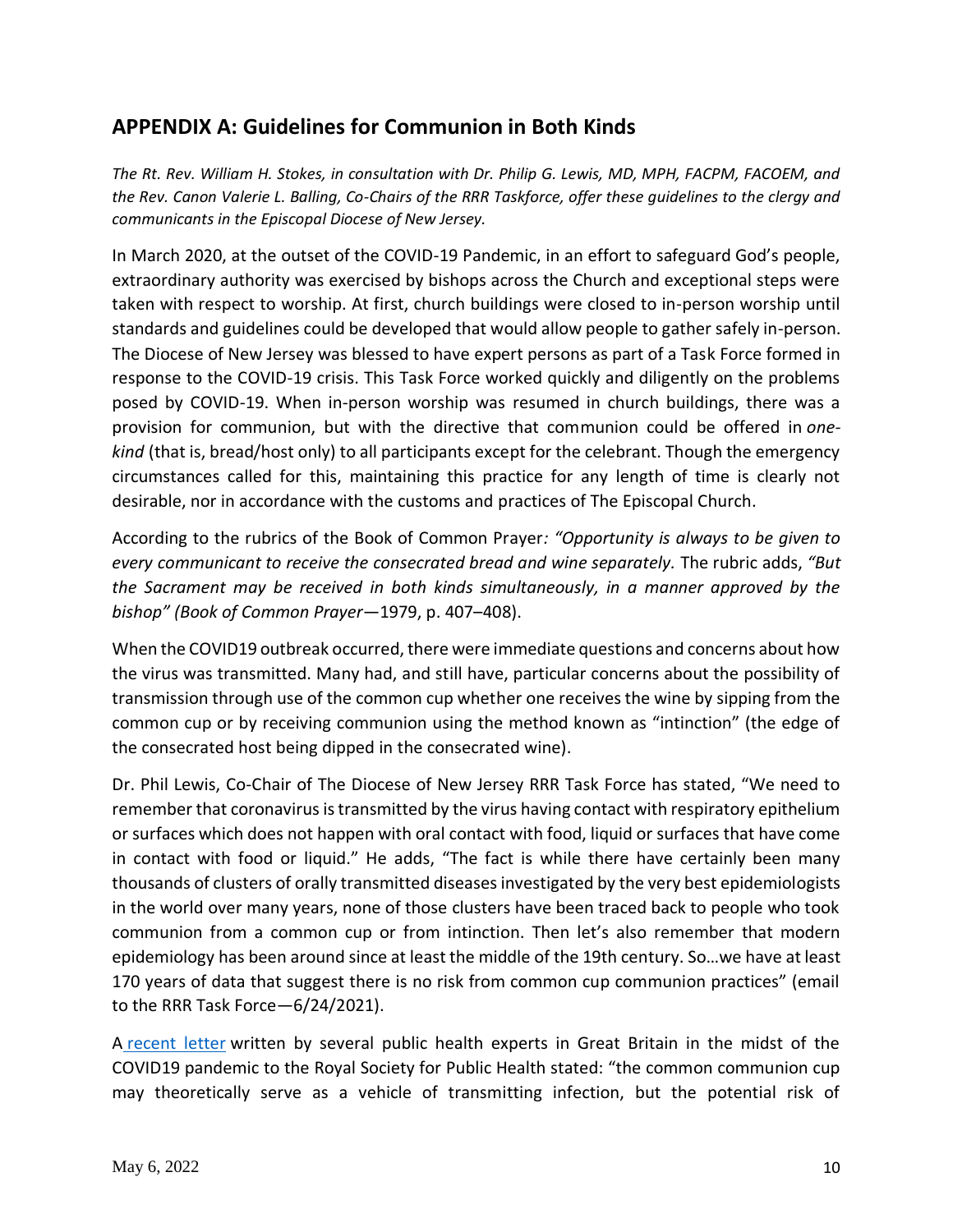## **APPENDIX A: Guidelines for Communion in Both Kinds**

*The Rt. Rev. William H. Stokes, in consultation with Dr. Philip G. Lewis, MD, MPH, FACPM, FACOEM, and the Rev. Canon Valerie L. Balling, Co-Chairs of the RRR Taskforce, offer these guidelines to the clergy and communicants in the Episcopal Diocese of New Jersey.*

In March 2020, at the outset of the COVID-19 Pandemic, in an effort to safeguard God's people, extraordinary authority was exercised by bishops across the Church and exceptional steps were taken with respect to worship. At first, church buildings were closed to in-person worship until standards and guidelines could be developed that would allow people to gather safely in-person. The Diocese of New Jersey was blessed to have expert persons as part of a Task Force formed in response to the COVID-19 crisis. This Task Force worked quickly and diligently on the problems posed by COVID-19. When in-person worship was resumed in church buildings, there was a provision for communion, but with the directive that communion could be offered in *onekind* (that is, bread/host only) to all participants except for the celebrant. Though the emergency circumstances called for this, maintaining this practice for any length of time is clearly not desirable, nor in accordance with the customs and practices of The Episcopal Church.

According to the rubrics of the Book of Common Prayer*: "Opportunity is always to be given to every communicant to receive the consecrated bread and wine separately.* The rubric adds, *"But the Sacrament may be received in both kinds simultaneously, in a manner approved by the bishop" (Book of Common Prayer*—1979, p. 407–408).

When the COVID19 outbreak occurred, there were immediate questions and concerns about how the virus was transmitted. Many had, and still have, particular concerns about the possibility of transmission through use of the common cup whether one receives the wine by sipping from the common cup or by receiving communion using the method known as "intinction" (the edge of the consecrated host being dipped in the consecrated wine).

Dr. Phil Lewis, Co-Chair of The Diocese of New Jersey RRR Task Force has stated, "We need to remember that coronavirus is transmitted by the virus having contact with respiratory epithelium or surfaces which does not happen with oral contact with food, liquid or surfaces that have come in contact with food or liquid." He adds, "The fact is while there have certainly been many thousands of clusters of orally transmitted diseases investigated by the very best epidemiologists in the world over many years, none of those clusters have been traced back to people who took communion from a common cup or from intinction. Then let's also remember that modern epidemiology has been around since at least the middle of the 19th century. So…we have at least 170 years of data that suggest there is no risk from common cup communion practices" (email to the RRR Task Force—6/24/2021).

A [recent letter](https://www.ncbi.nlm.nih.gov/pmc/articles/PMC7439816/) written by several public health experts in Great Britain in the midst of the COVID19 pandemic to the Royal Society for Public Health stated: "the common communion cup may theoretically serve as a vehicle of transmitting infection, but the potential risk of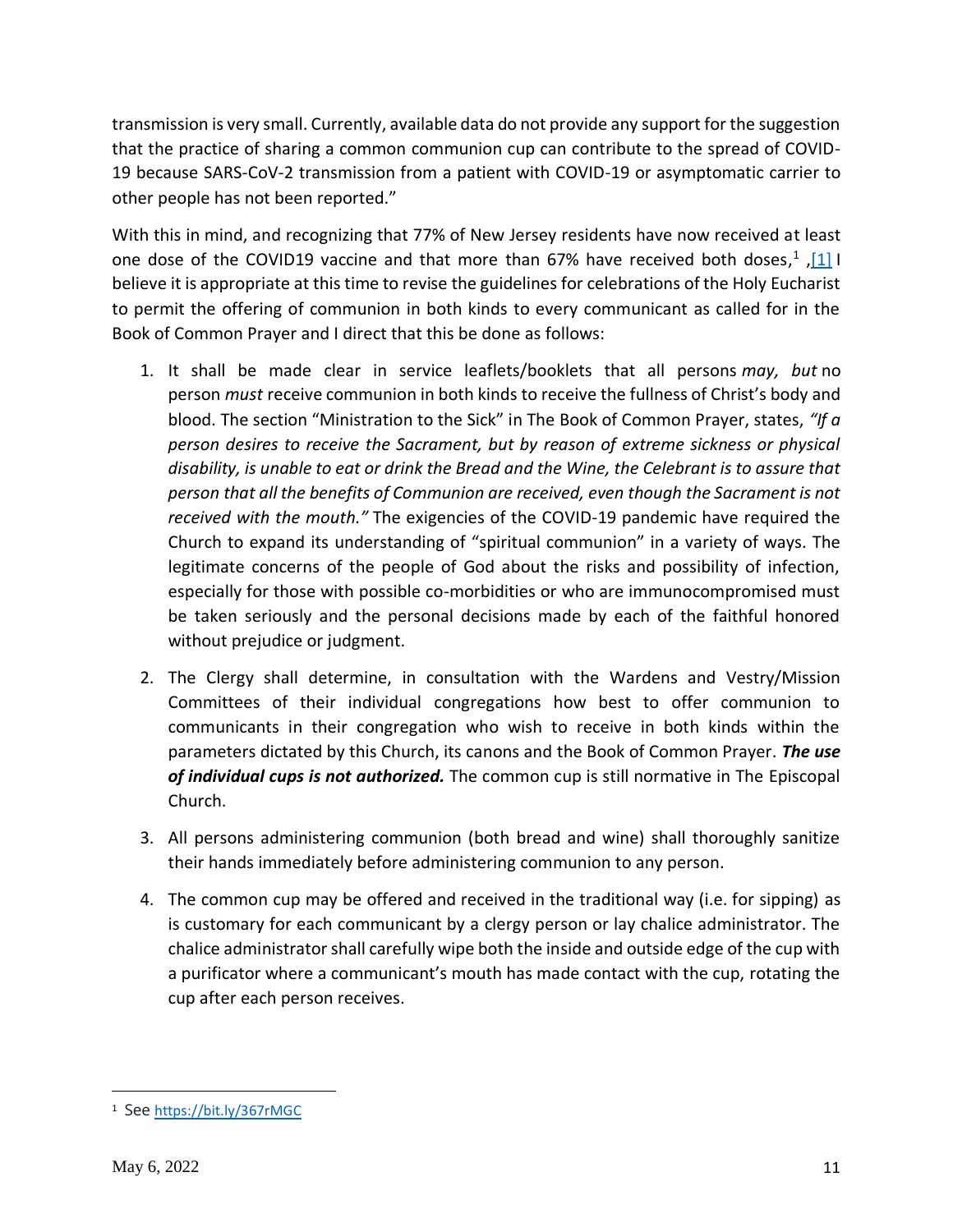transmission is very small. Currently, available data do not provide any support for the suggestion that the practice of sharing a common communion cup can contribute to the spread of COVID-19 because SARS-CoV-2 transmission from a patient with COVID-19 or asymptomatic carrier to other people has not been reported."

With this in mind, and recognizing that 77% of New Jersey residents have now received at least one dose of the COVID19 vaccine and that more than 67% have received both doses,<sup>1</sup>, [1] I believe it is appropriate at this time to revise the guidelines for celebrations of the Holy Eucharist to permit the offering of communion in both kinds to every communicant as called for in the Book of Common Prayer and I direct that this be done as follows:

- 1. It shall be made clear in service leaflets/booklets that all persons *may, but* no person *must* receive communion in both kinds to receive the fullness of Christ's body and blood. The section "Ministration to the Sick" in The Book of Common Prayer, states, *"If a person desires to receive the Sacrament, but by reason of extreme sickness or physical disability, is unable to eat or drink the Bread and the Wine, the Celebrant is to assure that person that all the benefits of Communion are received, even though the Sacrament is not received with the mouth."* The exigencies of the COVID-19 pandemic have required the Church to expand its understanding of "spiritual communion" in a variety of ways. The legitimate concerns of the people of God about the risks and possibility of infection, especially for those with possible co-morbidities or who are immunocompromised must be taken seriously and the personal decisions made by each of the faithful honored without prejudice or judgment.
- 2. The Clergy shall determine, in consultation with the Wardens and Vestry/Mission Committees of their individual congregations how best to offer communion to communicants in their congregation who wish to receive in both kinds within the parameters dictated by this Church, its canons and the Book of Common Prayer. *The use of individual cups is not authorized.* The common cup is still normative in The Episcopal Church.
- 3. All persons administering communion (both bread and wine) shall thoroughly sanitize their hands immediately before administering communion to any person.
- 4. The common cup may be offered and received in the traditional way (i.e. for sipping) as is customary for each communicant by a clergy person or lay chalice administrator. The chalice administrator shall carefully wipe both the inside and outside edge of the cup with a purificator where a communicant's mouth has made contact with the cup, rotating the cup after each person receives.

<sup>1</sup> See <https://bit.ly/367rMGC>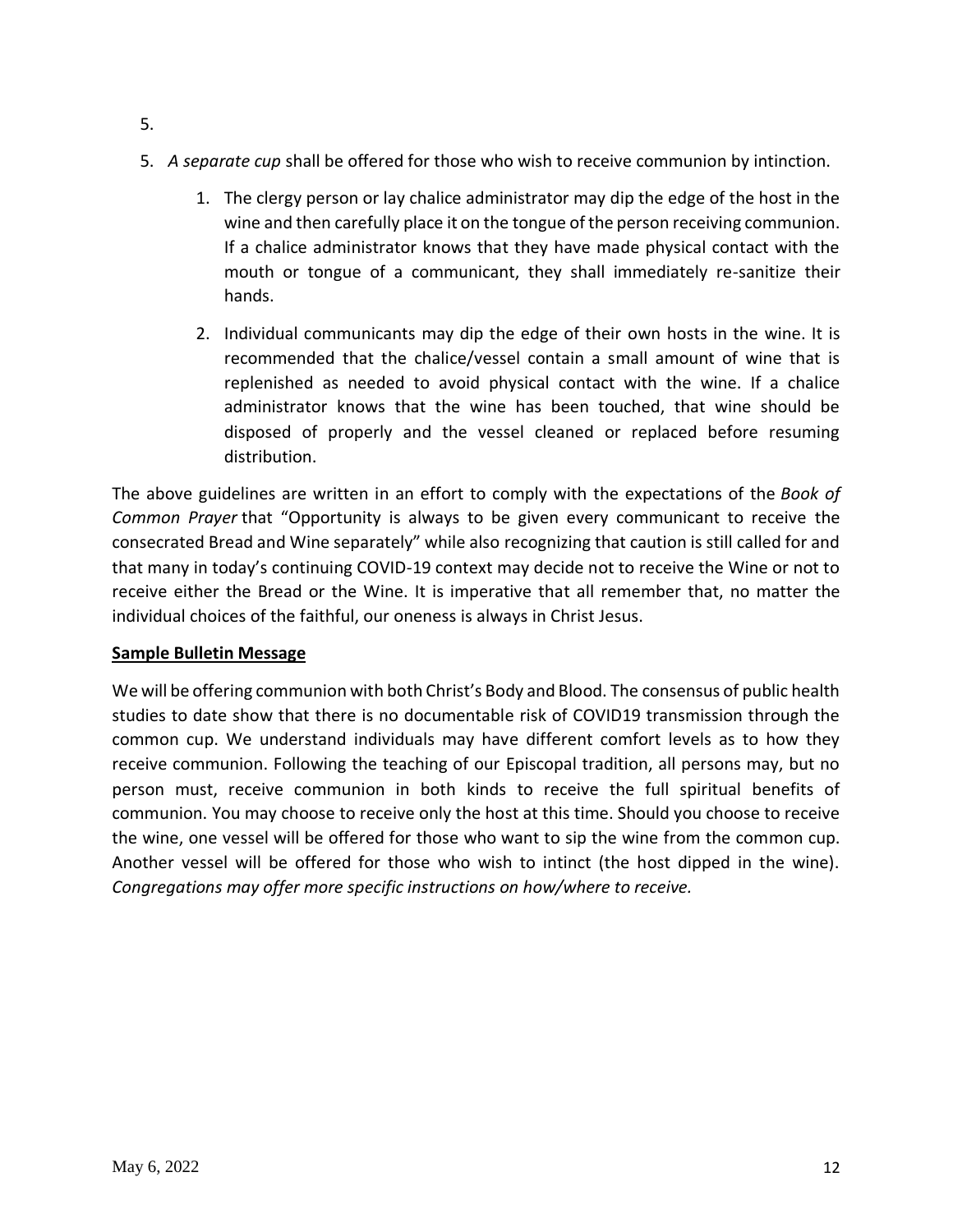- 5. *A separate cup* shall be offered for those who wish to receive communion by intinction.
	- 1. The clergy person or lay chalice administrator may dip the edge of the host in the wine and then carefully place it on the tongue of the person receiving communion. If a chalice administrator knows that they have made physical contact with the mouth or tongue of a communicant, they shall immediately re-sanitize their hands.
	- 2. Individual communicants may dip the edge of their own hosts in the wine. It is recommended that the chalice/vessel contain a small amount of wine that is replenished as needed to avoid physical contact with the wine. If a chalice administrator knows that the wine has been touched, that wine should be disposed of properly and the vessel cleaned or replaced before resuming distribution.

The above guidelines are written in an effort to comply with the expectations of the *Book of Common Prayer* that "Opportunity is always to be given every communicant to receive the consecrated Bread and Wine separately" while also recognizing that caution is still called for and that many in today's continuing COVID-19 context may decide not to receive the Wine or not to receive either the Bread or the Wine. It is imperative that all remember that, no matter the individual choices of the faithful, our oneness is always in Christ Jesus.

#### **Sample Bulletin Message**

We will be offering communion with both Christ's Body and Blood. The consensus of public health studies to date show that there is no documentable risk of COVID19 transmission through the common cup. We understand individuals may have different comfort levels as to how they receive communion. Following the teaching of our Episcopal tradition, all persons may, but no person must, receive communion in both kinds to receive the full spiritual benefits of communion. You may choose to receive only the host at this time. Should you choose to receive the wine, one vessel will be offered for those who want to sip the wine from the common cup. Another vessel will be offered for those who wish to intinct (the host dipped in the wine). *Congregations may offer more specific instructions on how/where to receive.*

5.